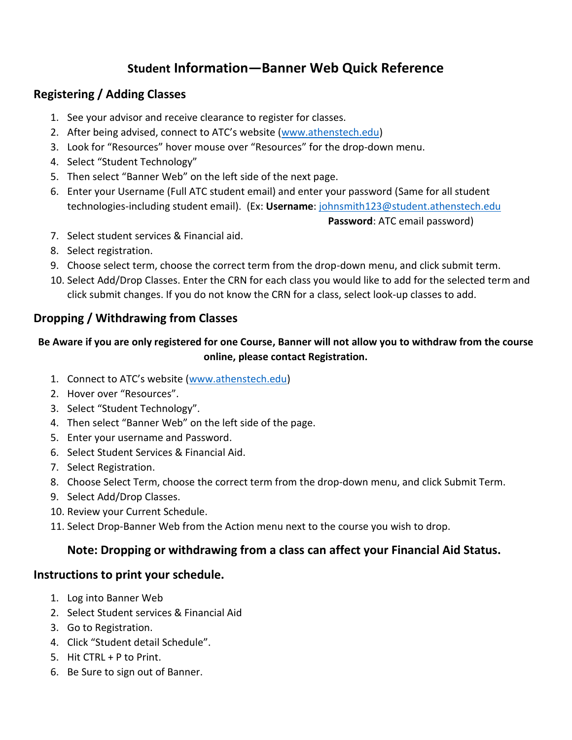# **Student Information—Banner Web Quick Reference**

## **Registering / Adding Classes**

- 1. See your advisor and receive clearance to register for classes.
- 2. After being advised, connect to ATC's website ([www.athenstech.edu\)](http://www.athenstech.edu/)
- 3. Look for "Resources" hover mouse over "Resources" for the drop-down menu.
- 4. Select "Student Technology"
- 5. Then select "Banner Web" on the left side of the next page.
- 6. Enter your Username (Full ATC student email) and enter your password (Same for all student technologies-including student email). (Ex: **Username**: [johnsmith123@student.athenstech.edu](mailto:johnsmith123@student.athenstech.edu)

 **Password**: ATC email password)

- 7. Select student services & Financial aid.
- 8. Select registration.
- 9. Choose select term, choose the correct term from the drop-down menu, and click submit term.
- 10. Select Add/Drop Classes. Enter the CRN for each class you would like to add for the selected term and click submit changes. If you do not know the CRN for a class, select look-up classes to add.

#### **Dropping / Withdrawing from Classes**

#### **Be Aware if you are only registered for one Course, Banner will not allow you to withdraw from the course online, please contact Registration.**

- 1. Connect to ATC's website ([www.athenstech.edu\)](http://www.athenstech.edu/)
- 2. Hover over "Resources".
- 3. Select "Student Technology".
- 4. Then select "Banner Web" on the left side of the page.
- 5. Enter your username and Password.
- 6. Select Student Services & Financial Aid.
- 7. Select Registration.
- 8. Choose Select Term, choose the correct term from the drop-down menu, and click Submit Term.
- 9. Select Add/Drop Classes.
- 10. Review your Current Schedule.
- 11. Select Drop-Banner Web from the Action menu next to the course you wish to drop.

## **Note: Dropping or withdrawing from a class can affect your Financial Aid Status.**

#### **Instructions to print your schedule.**

- 1. Log into Banner Web
- 2. Select Student services & Financial Aid
- 3. Go to Registration.
- 4. Click "Student detail Schedule".
- 5. Hit CTRL + P to Print.
- 6. Be Sure to sign out of Banner.